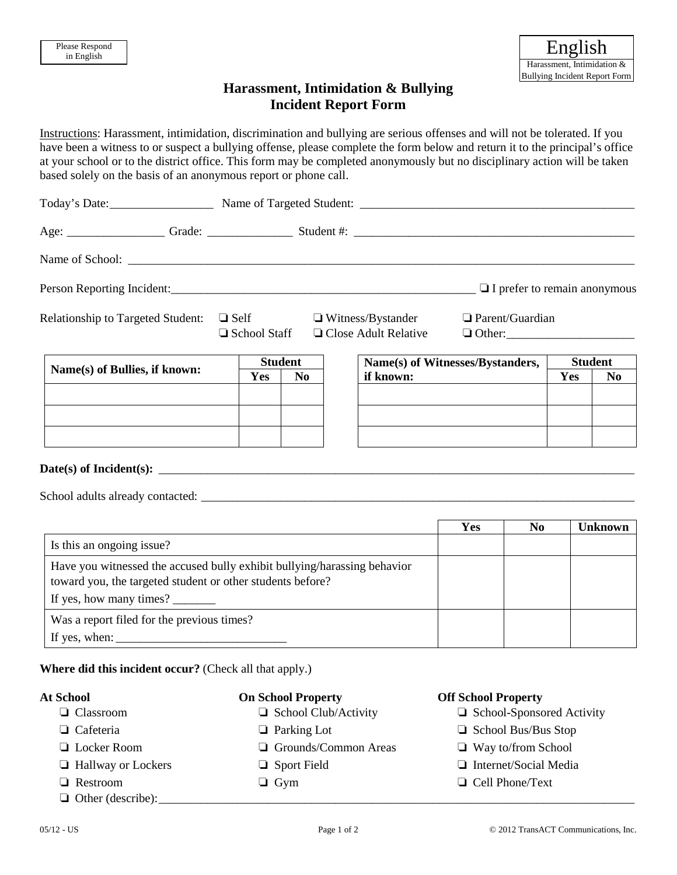# **Harassment, Intimidation & Bullying Incident Report Form**

Instructions: Harassment, intimidation, discrimination and bullying are serious offenses and will not be tolerated. If you have been a witness to or suspect a bullying offense, please complete the form below and return it to the principal's office at your school or to the district office. This form may be completed anonymously but no disciplinary action will be taken based solely on the basis of an anonymous report or phone call.

|                                          |  |                                    |                |  |                                                         | $\Box$ I prefer to remain anonymous |                |                |
|------------------------------------------|--|------------------------------------|----------------|--|---------------------------------------------------------|-------------------------------------|----------------|----------------|
| <b>Relationship to Targeted Student:</b> |  | $\Box$ Self<br>$\Box$ School Staff |                |  | $\Box$ Witness/Bystander<br>$\Box$ Close Adult Relative | $\Box$ Parent/Guardian              |                |                |
| Name(s) of Bullies, if known:            |  | <b>Student</b>                     |                |  |                                                         | Name(s) of Witnesses/Bystanders,    | <b>Student</b> |                |
|                                          |  | <b>Yes</b>                         | N <sub>0</sub> |  | if known:                                               |                                     | Yes            | N <sub>0</sub> |
|                                          |  |                                    |                |  |                                                         |                                     |                |                |
|                                          |  |                                    |                |  |                                                         |                                     |                |                |
|                                          |  |                                    |                |  |                                                         |                                     |                |                |

# **Date(s) of Incident(s):** \_\_\_\_\_\_\_\_\_\_\_\_\_\_\_\_\_\_\_\_\_\_\_\_\_\_\_\_\_\_\_\_\_\_\_\_\_\_\_\_\_\_\_\_\_\_\_\_\_\_\_\_\_\_\_\_\_\_\_\_\_\_\_\_\_\_\_\_\_\_\_\_\_\_\_\_\_\_

School adults already contacted: \_\_\_\_\_\_\_\_\_\_\_\_\_\_\_\_\_\_\_\_\_\_\_\_\_\_\_\_\_\_\_\_\_\_\_\_\_\_\_\_\_\_\_\_\_\_\_\_\_\_\_\_\_\_\_\_\_\_\_\_\_\_\_\_\_\_\_\_\_\_\_

|                                                                                                                                                                   | Yes | No. | Unknown |
|-------------------------------------------------------------------------------------------------------------------------------------------------------------------|-----|-----|---------|
| Is this an ongoing issue?                                                                                                                                         |     |     |         |
| Have you witnessed the accused bully exhibit bullying/harassing behavior<br>toward you, the targeted student or other students before?<br>If yes, how many times? |     |     |         |
| Was a report filed for the previous times?                                                                                                                        |     |     |         |
| If yes, when: $\overline{\phantom{a}}$                                                                                                                            |     |     |         |

# **Where did this incident occur?** (Check all that apply.)

- 
- 
- ❏ Locker Room ❏ Grounds/Common Areas ❏ Way to/from School
	-
	-
- $\Box$  Other (describe):

### **At School On School Property Off School Property**

- ❏ Classroom ❏ School Club/Activity ❏ School-Sponsored Activity
- ❏ Cafeteria ❏ Parking Lot ❏ School Bus/Bus Stop
	-
- ❏ Hallway or Lockers ❏ Sport Field ❏ Internet/Social Media
- ❏ Restroom ❏ Gym ❏ Cell Phone/Text